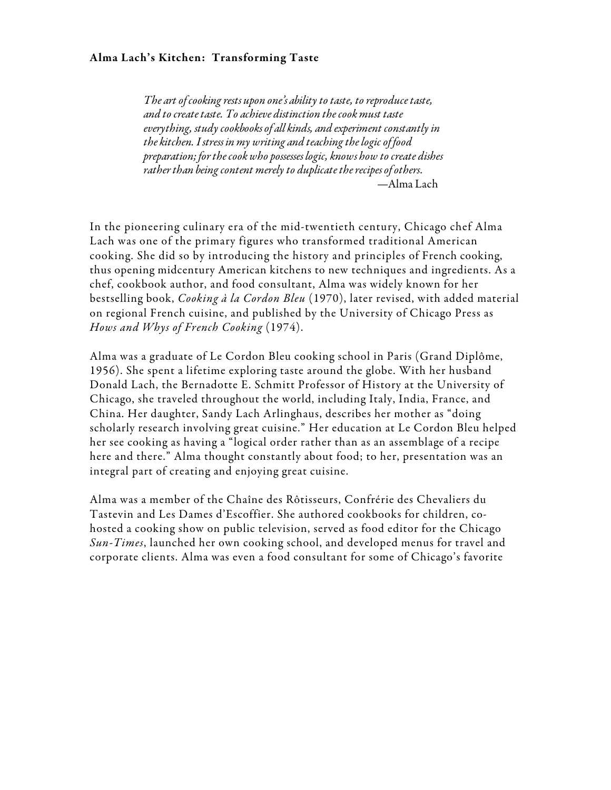### Alma Lach's Kitchen: Transforming Taste

*The art of cooking rests upon one's ability to taste, to reproduce taste, and to create taste. To achieve distinction the cook must taste everything, study cookbooks of all kinds, and experiment constantly in the kitchen. I stress in my writing and teaching the logic of food preparation; for the cook who possesses logic, knows how to create dishes rather than being content merely to duplicate the recipes of others*. —Alma Lach

In the pioneering culinary era of the mid-twentieth century, Chicago chef Alma Lach was one of the primary figures who transformed traditional American cooking. She did so by introducing the history and principles of French cooking, thus opening midcentury American kitchens to new techniques and ingredients. As a chef, cookbook author, and food consultant, Alma was widely known for her bestselling book, *Cooking à la Cordon Bleu* (1970), later revised, with added material on regional French cuisine, and published by the University of Chicago Press as *Hows and Whys of French Cooking* (1974).

Alma was a graduate of Le Cordon Bleu cooking school in Paris (Grand Diplôme, 1956). She spent a lifetime exploring taste around the globe. With her husband Donald Lach, the Bernadotte E. Schmitt Professor of History at the University of Chicago, she traveled throughout the world, including Italy, India, France, and China. Her daughter, Sandy Lach Arlinghaus, describes her mother as "doing scholarly research involving great cuisine." Her education at Le Cordon Bleu helped her see cooking as having a "logical order rather than as an assemblage of a recipe here and there." Alma thought constantly about food; to her, presentation was an integral part of creating and enjoying great cuisine.

Alma was a member of the Chaîne des Rôtisseurs, Confrérie des Chevaliers du Tastevin and Les Dames d'Escoffier. She authored cookbooks for children, cohosted a cooking show on public television, served as food editor for the Chicago *Sun-Times*, launched her own cooking school, and developed menus for travel and corporate clients. Alma was even a food consultant for some of Chicago's favorite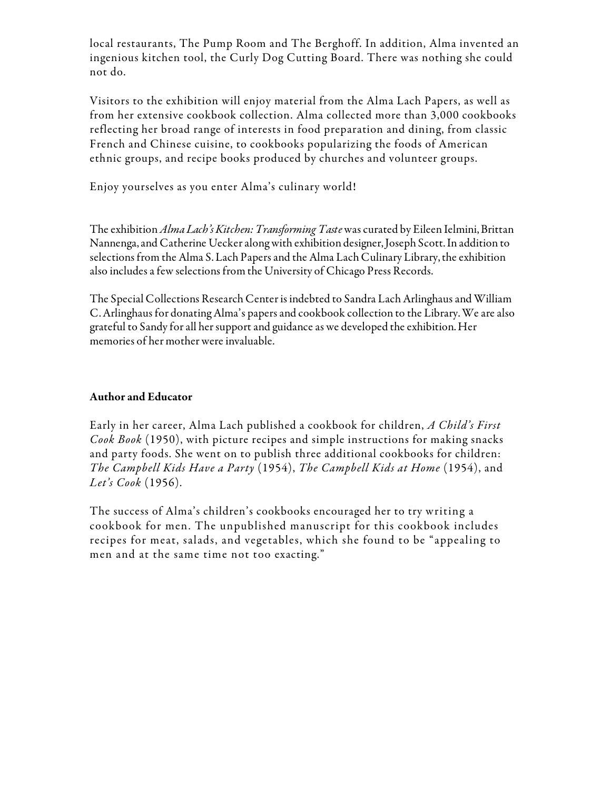local restaurants, The Pump Room and The Berghoff. In addition, Alma invented an ingenious kitchen tool, the Curly Dog Cutting Board. There was nothing she could not do.

Visitors to the exhibition will enjoy material from the Alma Lach Papers, as well as from her extensive cookbook collection. Alma collected more than 3,000 cookbooks reflecting her broad range of interests in food preparation and dining, from classic French and Chinese cuisine, to cookbooks popularizing the foods of American ethnic groups, and recipe books produced by churches and volunteer groups.

Enjoy yourselves as you enter Alma's culinary world!

The exhibition *Alma Lach's Kitchen: Transforming Taste* was curated by Eileen Ielmini, Brittan Nannenga, and Catherine Uecker along with exhibition designer, Joseph Scott. In addition to selections from the Alma S. Lach Papers and the Alma Lach Culinary Library, the exhibition also includes a few selections from the University of Chicago Press Records.

The Special Collections Research Center is indebted to Sandra Lach Arlinghaus and William C. Arlinghaus for donating Alma's papers and cookbook collection to the Library. We are also grateful to Sandy for all her support and guidance as we developed the exhibition. Her memories of her mother were invaluable.

# Author and Educator

Early in her career, Alma Lach published a cookbook for children, *A Child's First Cook Book* (1950), with picture recipes and simple instructions for making snacks and party foods. She went on to publish three additional cookbooks for children: *The Campbell Kids Have a Party* (1954), *The Campbell Kids at Home* (1954), and *Let's Cook* (1956).

The success of Alma's children's cookbooks encouraged her to try writing a cookbook for men. The unpublished manuscript for this cookbook includes recipes for meat, salads, and vegetables, which she found to be "appealing to men and at the same time not too exacting."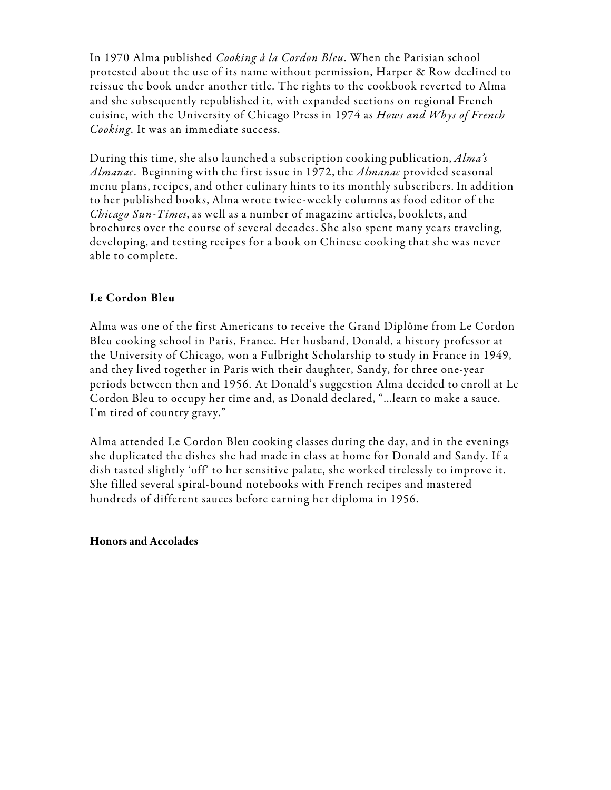In 1970 Alma published *Cooking à la Cordon Bleu*. When the Parisian school protested about the use of its name without permission, Harper & Row declined to reissue the book under another title. The rights to the cookbook reverted to Alma and she subsequently republished it, with expanded sections on regional French cuisine, with the University of Chicago Press in 1974 as *Hows and Whys of French Cooking*. It was an immediate success.

During this time, she also launched a subscription cooking publication, *Alma's Almanac*. Beginning with the first issue in 1972, the *Almanac* provided seasonal menu plans, recipes, and other culinary hints to its monthly subscribers. In addition to her published books, Alma wrote twice-weekly columns as food editor of the *Chicago Sun-Times*, as well as a number of magazine articles, booklets, and brochures over the course of several decades. She also spent many years traveling, developing, and testing recipes for a book on Chinese cooking that she was never able to complete.

# Le Cordon Bleu

Alma was one of the first Americans to receive the Grand Diplôme from Le Cordon Bleu cooking school in Paris, France. Her husband, Donald, a history professor at the University of Chicago, won a Fulbright Scholarship to study in France in 1949, and they lived together in Paris with their daughter, Sandy, for three one-year periods between then and 1956. At Donald's suggestion Alma decided to enroll at Le Cordon Bleu to occupy her time and, as Donald declared, "...learn to make a sauce. I'm tired of country gravy."

Alma attended Le Cordon Bleu cooking classes during the day, and in the evenings she duplicated the dishes she had made in class at home for Donald and Sandy. If a dish tasted slightly 'off' to her sensitive palate, she worked tirelessly to improve it. She filled several spiral-bound notebooks with French recipes and mastered hundreds of different sauces before earning her diploma in 1956.

# Honors and Accolades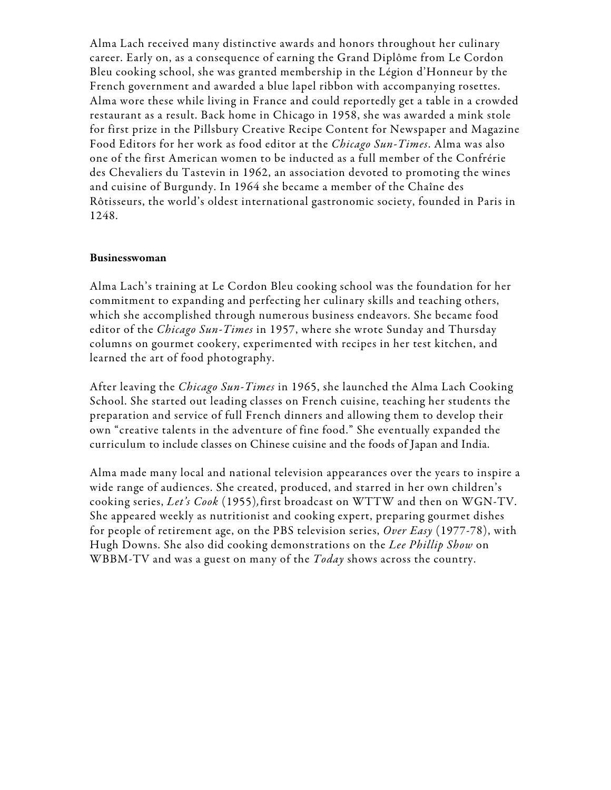Alma Lach received many distinctive awards and honors throughout her culinary career. Early on, as a consequence of earning the Grand Diplôme from Le Cordon Bleu cooking school, she was granted membership in the Légion d'Honneur by the French government and awarded a blue lapel ribbon with accompanying rosettes. Alma wore these while living in France and could reportedly get a table in a crowded restaurant as a result. Back home in Chicago in 1958, she was awarded a mink stole for first prize in the Pillsbury Creative Recipe Content for Newspaper and Magazine Food Editors for her work as food editor at the *Chicago Sun-Times*. Alma was also one of the first American women to be inducted as a full member of the Confrérie des Chevaliers du Tastevin in 1962, an association devoted to promoting the wines and cuisine of Burgundy. In 1964 she became a member of the Chaîne des Rôtisseurs, the world's oldest international gastronomic society, founded in Paris in 1248.

#### Businesswoman

Alma Lach's training at Le Cordon Bleu cooking school was the foundation for her commitment to expanding and perfecting her culinary skills and teaching others, which she accomplished through numerous business endeavors. She became food editor of the *Chicago Sun-Times* in 1957, where she wrote Sunday and Thursday columns on gourmet cookery, experimented with recipes in her test kitchen, and learned the art of food photography.

After leaving the *Chicago Sun-Times* in 1965, she launched the Alma Lach Cooking School. She started out leading classes on French cuisine, teaching her students the preparation and service of full French dinners and allowing them to develop their own "creative talents in the adventure of fine food." She eventually expanded the curriculum to include classes on Chinese cuisine and the foods of Japan and India.

Alma made many local and national television appearances over the years to inspire a wide range of audiences. She created, produced, and starred in her own children's cooking series, *Let's Cook* (1955)*,*first broadcast on WTTW and then on WGN-TV. She appeared weekly as nutritionist and cooking expert, preparing gourmet dishes for people of retirement age, on the PBS television series, *Over Easy* (1977-78), with Hugh Downs. She also did cooking demonstrations on the *Lee Phillip Show* on WBBM-TV and was a guest on many of the *Today* shows across the country.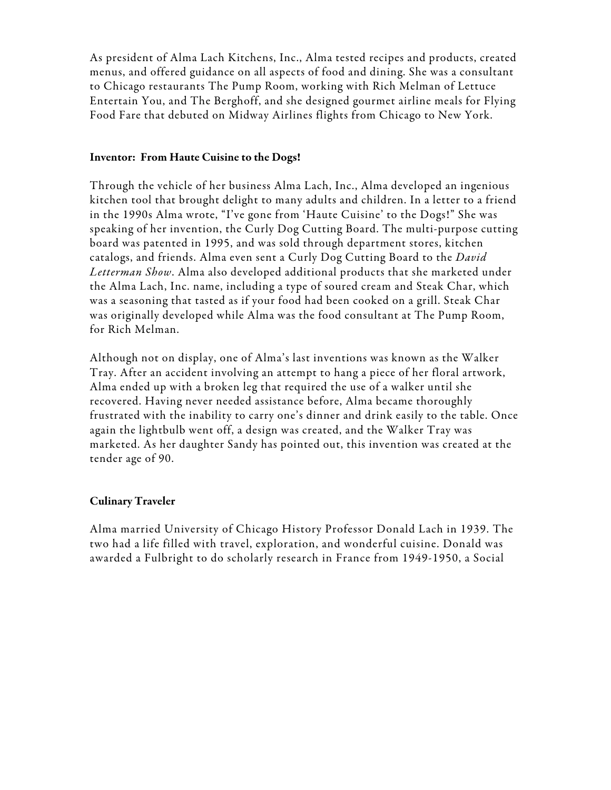As president of Alma Lach Kitchens, Inc., Alma tested recipes and products, created menus, and offered guidance on all aspects of food and dining. She was a consultant to Chicago restaurants The Pump Room, working with Rich Melman of Lettuce Entertain You, and The Berghoff, and she designed gourmet airline meals for Flying Food Fare that debuted on Midway Airlines flights from Chicago to New York.

### Inventor: From Haute Cuisine to the Dogs!

Through the vehicle of her business Alma Lach, Inc., Alma developed an ingenious kitchen tool that brought delight to many adults and children. In a letter to a friend in the 1990s Alma wrote, "I've gone from 'Haute Cuisine' to the Dogs!" She was speaking of her invention, the Curly Dog Cutting Board. The multi-purpose cutting board was patented in 1995, and was sold through department stores, kitchen catalogs, and friends. Alma even sent a Curly Dog Cutting Board to the *David Letterman Show*. Alma also developed additional products that she marketed under the Alma Lach, Inc. name, including a type of soured cream and Steak Char, which was a seasoning that tasted as if your food had been cooked on a grill. Steak Char was originally developed while Alma was the food consultant at The Pump Room, for Rich Melman.

Although not on display, one of Alma's last inventions was known as the Walker Tray. After an accident involving an attempt to hang a piece of her floral artwork, Alma ended up with a broken leg that required the use of a walker until she recovered. Having never needed assistance before, Alma became thoroughly frustrated with the inability to carry one's dinner and drink easily to the table. Once again the lightbulb went off, a design was created, and the Walker Tray was marketed. As her daughter Sandy has pointed out, this invention was created at the tender age of 90.

### Culinary Traveler

Alma married University of Chicago History Professor Donald Lach in 1939. The two had a life filled with travel, exploration, and wonderful cuisine. Donald was awarded a Fulbright to do scholarly research in France from 1949-1950, a Social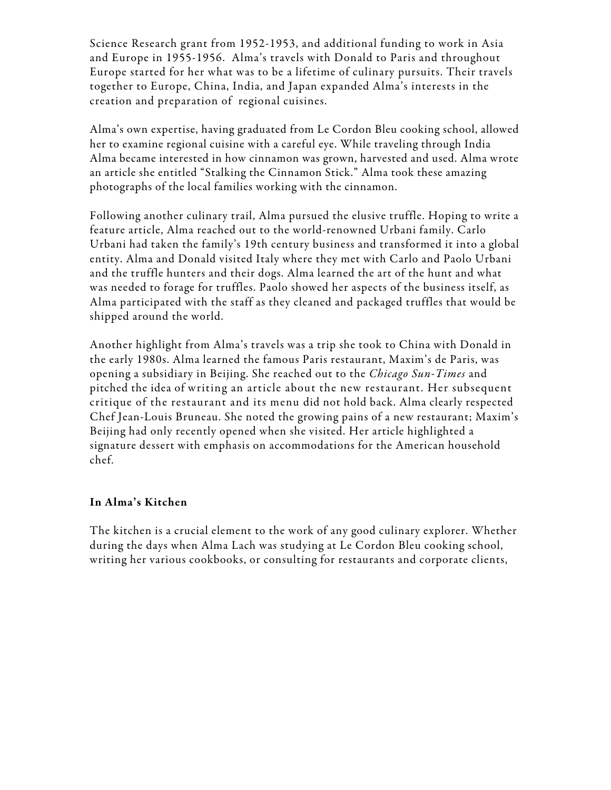Science Research grant from 1952-1953, and additional funding to work in Asia and Europe in 1955-1956. Alma's travels with Donald to Paris and throughout Europe started for her what was to be a lifetime of culinary pursuits. Their travels together to Europe, China, India, and Japan expanded Alma's interests in the creation and preparation of regional cuisines.

Alma's own expertise, having graduated from Le Cordon Bleu cooking school, allowed her to examine regional cuisine with a careful eye. While traveling through India Alma became interested in how cinnamon was grown, harvested and used. Alma wrote an article she entitled "Stalking the Cinnamon Stick." Alma took these amazing photographs of the local families working with the cinnamon.

Following another culinary trail, Alma pursued the elusive truffle. Hoping to write a feature article, Alma reached out to the world-renowned Urbani family. Carlo Urbani had taken the family's 19th century business and transformed it into a global entity. Alma and Donald visited Italy where they met with Carlo and Paolo Urbani and the truffle hunters and their dogs. Alma learned the art of the hunt and what was needed to forage for truffles. Paolo showed her aspects of the business itself, as Alma participated with the staff as they cleaned and packaged truffles that would be shipped around the world.

Another highlight from Alma's travels was a trip she took to China with Donald in the early 1980s. Alma learned the famous Paris restaurant, Maxim's de Paris, was opening a subsidiary in Beijing. She reached out to the *Chicago Sun-Times* and pitched the idea of writing an article about the new restaurant. Her subsequent critique of the restaurant and its menu did not hold back. Alma clearly respected Chef Jean-Louis Bruneau. She noted the growing pains of a new restaurant; Maxim's Beijing had only recently opened when she visited. Her article highlighted a signature dessert with emphasis on accommodations for the American household chef.

# In Alma's Kitchen

The kitchen is a crucial element to the work of any good culinary explorer. Whether during the days when Alma Lach was studying at Le Cordon Bleu cooking school, writing her various cookbooks, or consulting for restaurants and corporate clients,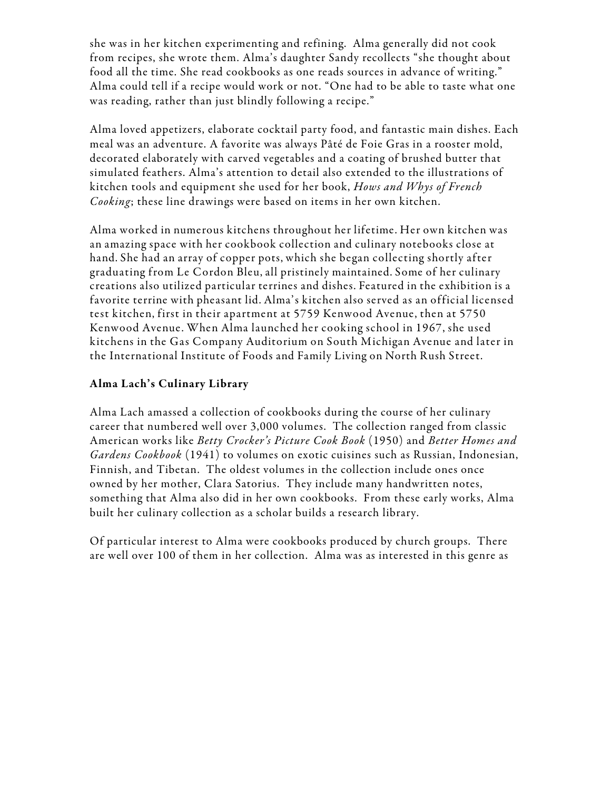she was in her kitchen experimenting and refining. Alma generally did not cook from recipes, she wrote them. Alma's daughter Sandy recollects "she thought about food all the time. She read cookbooks as one reads sources in advance of writing." Alma could tell if a recipe would work or not. "One had to be able to taste what one was reading, rather than just blindly following a recipe."

Alma loved appetizers, elaborate cocktail party food, and fantastic main dishes. Each meal was an adventure. A favorite was always Pâté de Foie Gras in a rooster mold, decorated elaborately with carved vegetables and a coating of brushed butter that simulated feathers. Alma's attention to detail also extended to the illustrations of kitchen tools and equipment she used for her book, *Hows and Whys of French Cooking*; these line drawings were based on items in her own kitchen.

Alma worked in numerous kitchens throughout her lifetime. Her own kitchen was an amazing space with her cookbook collection and culinary notebooks close at hand. She had an array of copper pots, which she began collecting shortly after graduating from Le Cordon Bleu, all pristinely maintained. Some of her culinary creations also utilized particular terrines and dishes. Featured in the exhibition is a favorite terrine with pheasant lid. Alma's kitchen also served as an official licensed test kitchen, first in their apartment at 5759 Kenwood Avenue, then at 5750 Kenwood Avenue. When Alma launched her cooking school in 1967, she used kitchens in the Gas Company Auditorium on South Michigan Avenue and later in the International Institute of Foods and Family Living on North Rush Street.

# Alma Lach's Culinary Library

Alma Lach amassed a collection of cookbooks during the course of her culinary career that numbered well over 3,000 volumes. The collection ranged from classic American works like *Betty Crocker's Picture Cook Book* (1950) and *Better Homes and Gardens Cookbook* (1941) to volumes on exotic cuisines such as Russian, Indonesian, Finnish, and Tibetan. The oldest volumes in the collection include ones once owned by her mother, Clara Satorius. They include many handwritten notes, something that Alma also did in her own cookbooks. From these early works, Alma built her culinary collection as a scholar builds a research library.

Of particular interest to Alma were cookbooks produced by church groups. There are well over 100 of them in her collection. Alma was as interested in this genre as